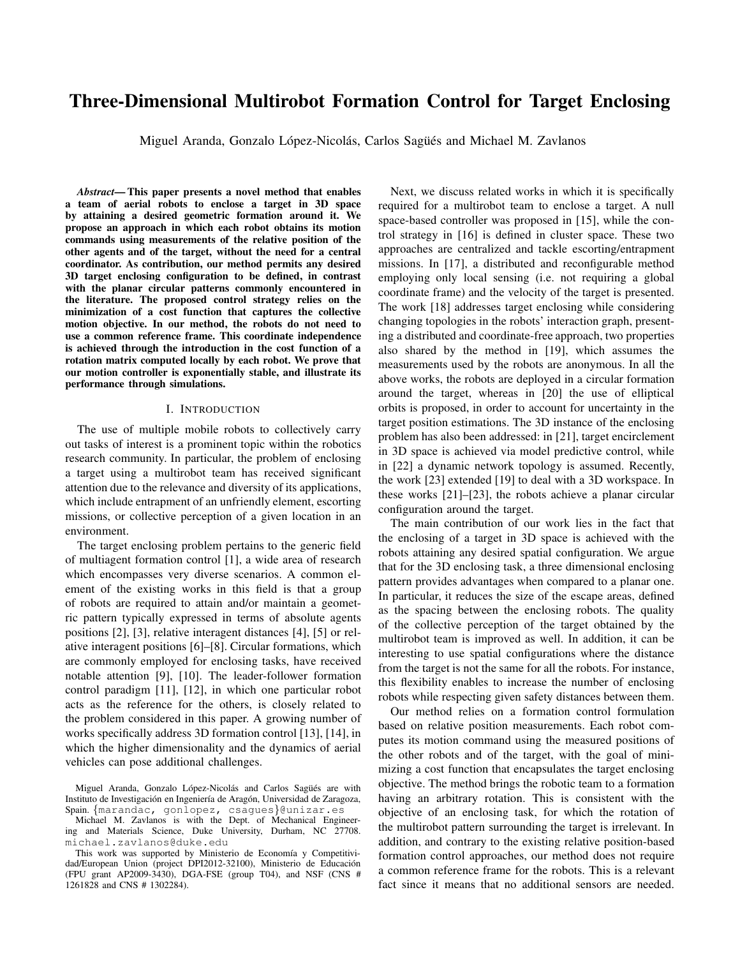# **Three-Dimensional Multirobot Formation Control for Target Enclosing**

Miguel Aranda, Gonzalo López-Nicolás, Carlos Sagüés and Michael M. Zavlanos

Abstract-This paper presents a novel method that enables a team of aerial robots to enclose a target in 3D space by attaining a desired geometric formation around it. We propose an approach in which each robot obtains its motion commands using measurements of the relative position of the other agents and of the target, without the need for a central coordinator. As contribution, our method permits any desired 3D target enclosing configuration to be defined, in contrast with the planar circular patterns commonly encountered in the literature. The proposed control strategy relies on the minimization of a cost function that captures the collective motion objective. In our method, the robots do not need to use a common reference frame. This coordinate independence is achieved through the introduction in the cost function of a rotation matrix computed locally by each robot. We prove that our motion controller is exponentially stable, and illustrate its performance through simulations.

## I. INTRODUCTION

The use of multiple mobile robots to collectively carry out tasks of interest is a prominent topic within the robotics research community. In particular, the problem of enclosing a target using a multirobot team has received significant attention due to the relevance and diversity of its applications, which include entrapment of an unfriendly element, escorting missions, or collective perception of a given location in an environment.

The target enclosing problem pertains to the generic field of multiagent formation control [1], a wide area of research which encompasses very diverse scenarios. A common element of the existing works in this field is that a group of robots are required to attain and/or maintain a geometric pattern typically expressed in terms of absolute agents positions [2], [3], relative interagent distances [4], [5] or relative interagent positions [6]–[8]. Circular formations, which are commonly employed for enclosing tasks, have received notable attention [9], [10]. The leader-follower formation control paradigm [11], [12], in which one particular robot acts as the reference for the others, is closely related to the problem considered in this paper. A growing number of works specifically address 3D formation control [13], [14], in which the higher dimensionality and the dynamics of aerial vehicles can pose additional challenges.

Next, we discuss related works in which it is specifically required for a multirobot team to enclose a target. A null space-based controller was proposed in [15], while the control strategy in [16] is defined in cluster space. These two approaches are centralized and tackle escorting/entrapment missions. In [17], a distributed and reconfigurable method employing only local sensing (i.e. not requiring a global coordinate frame) and the velocity of the target is presented. The work [18] addresses target enclosing while considering changing topologies in the robots' interaction graph, presenting a distributed and coordinate-free approach, two properties also shared by the method in [19], which assumes the measurements used by the robots are anonymous. In all the above works, the robots are deployed in a circular formation around the target, whereas in [20] the use of elliptical orbits is proposed, in order to account for uncertainty in the target position estimations. The 3D instance of the enclosing problem has also been addressed: in [21], target encirclement in 3D space is achieved via model predictive control, while in [22] a dynamic network topology is assumed. Recently, the work [23] extended [19] to deal with a 3D workspace. In these works  $[21]$ – $[23]$ , the robots achieve a planar circular configuration around the target.

The main contribution of our work lies in the fact that the enclosing of a target in 3D space is achieved with the robots attaining any desired spatial configuration. We argue that for the 3D enclosing task, a three dimensional enclosing pattern provides advantages when compared to a planar one. In particular, it reduces the size of the escape areas, defined as the spacing between the enclosing robots. The quality of the collective perception of the target obtained by the multirobot team is improved as well. In addition, it can be interesting to use spatial configurations where the distance from the target is not the same for all the robots. For instance, this flexibility enables to increase the number of enclosing robots while respecting given safety distances between them.

Our method relies on a formation control formulation based on relative position measurements. Each robot computes its motion command using the measured positions of the other robots and of the target, with the goal of minimizing a cost function that encapsulates the target enclosing objective. The method brings the robotic team to a formation having an arbitrary rotation. This is consistent with the objective of an enclosing task, for which the rotation of the multirobot pattern surrounding the target is irrelevant. In addition, and contrary to the existing relative position-based formation control approaches, our method does not require a common reference frame for the robots. This is a relevant fact since it means that no additional sensors are needed.

Miguel Aranda, Gonzalo López-Nicolás and Carlos Sagüés are with Instituto de Investigación en Ingeniería de Aragón, Universidad de Zaragoza, Spain. {marandac, gonlopez, csagues}@unizar.es

Michael M. Zavlanos is with the Dept. of Mechanical Engineering and Materials Science, Duke University, Durham, NC 27708. michael.zavlanos@duke.edu

This work was supported by Ministerio de Economía y Competitividad/European Union (project DPI2012-32100), Ministerio de Educación (FPU grant AP2009-3430), DGA-FSE (group T04), and NSF (CNS # 1261828 and CNS # 1302284).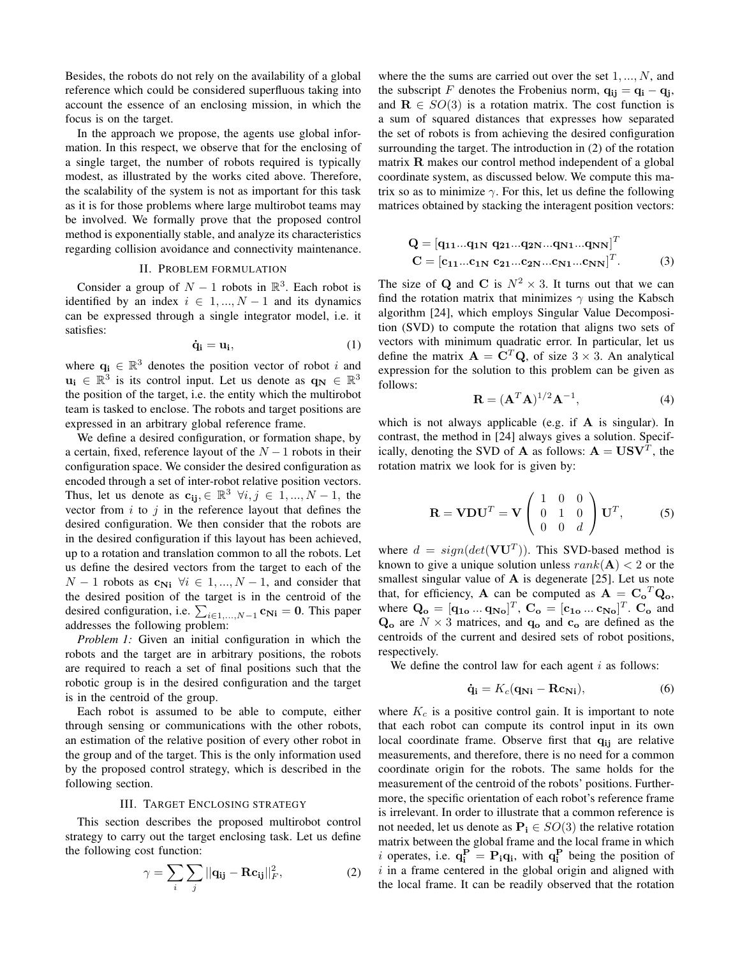Besides, the robots do not rely on the availability of a global reference which could be considered superfluous taking into account the essence of an enclosing mission, in which the focus is on the target.

In the approach we propose, the agents use global information. In this respect, we observe that for the enclosing of a single target, the number of robots required is typically modest, as illustrated by the works cited above. Therefore, the scalability of the system is not as important for this task as it is for those problems where large multirobot teams may be involved. We formally prove that the proposed control method is exponentially stable, and analyze its characteristics regarding collision avoidance and connectivity maintenance.

# **II. PROBLEM FORMULATION**

Consider a group of  $N-1$  robots in  $\mathbb{R}^3$ . Each robot is identified by an index  $i \in 1, ..., N-1$  and its dynamics can be expressed through a single integrator model, i.e. it satisfies:

$$
\dot{\mathbf{q}}_{i} = \mathbf{u}_{i},\tag{1}
$$

where  $\mathbf{q}_i \in \mathbb{R}^3$  denotes the position vector of robot i and  $u_i \in \mathbb{R}^3$  is its control input. Let us denote as  $q_N \in \mathbb{R}^3$ the position of the target, i.e. the entity which the multirobot team is tasked to enclose. The robots and target positions are expressed in an arbitrary global reference frame.

We define a desired configuration, or formation shape, by a certain, fixed, reference layout of the  $N-1$  robots in their configuration space. We consider the desired configuration as encoded through a set of inter-robot relative position vectors. Thus, let us denote as  $\mathbf{c}_{ii} \in \mathbb{R}^3$   $\forall i, j \in 1, ..., N-1$ , the vector from  $i$  to  $j$  in the reference layout that defines the desired configuration. We then consider that the robots are in the desired configuration if this layout has been achieved, up to a rotation and translation common to all the robots. Let us define the desired vectors from the target to each of the  $N-1$  robots as  $\mathbf{c}_{N_i}$   $\forall i \in 1, ..., N-1$ , and consider that the desired position of the target is in the centroid of the desired configuration, i.e.  $\sum_{i \in 1,...,N-1} c_{Ni} = 0$ . This paper addresses the following problem:

*Problem 1:* Given an initial configuration in which the robots and the target are in arbitrary positions, the robots are required to reach a set of final positions such that the robotic group is in the desired configuration and the target is in the centroid of the group.

Each robot is assumed to be able to compute, either through sensing or communications with the other robots, an estimation of the relative position of every other robot in the group and of the target. This is the only information used by the proposed control strategy, which is described in the following section.

## **III. TARGET ENCLOSING STRATEGY**

This section describes the proposed multirobot control strategy to carry out the target enclosing task. Let us define the following cost function:

$$
\gamma = \sum_{i} \sum_{j} ||\mathbf{q_{ij}} - \mathbf{R} \mathbf{c_{ij}}||_F^2, \tag{2}
$$

where the the sums are carried out over the set  $1, ..., N$ , and the subscript F denotes the Frobenius norm,  $q_{ii} = q_i - q_i$ , and  $\mathbf{R} \in SO(3)$  is a rotation matrix. The cost function is a sum of squared distances that expresses how separated the set of robots is from achieving the desired configuration surrounding the target. The introduction in  $(2)$  of the rotation matrix R makes our control method independent of a global coordinate system, as discussed below. We compute this matrix so as to minimize  $\gamma$ . For this, let us define the following matrices obtained by stacking the interagent position vectors:

$$
\mathbf{Q} = [\mathbf{q}_{11}...\mathbf{q}_{1N} \; \mathbf{q}_{21}...\mathbf{q}_{2N}...\mathbf{q}_{N1}...\mathbf{q}_{NN}]^{T}
$$
  

$$
\mathbf{C} = [\mathbf{c}_{11}...\mathbf{c}_{1N} \; \mathbf{c}_{21}...\mathbf{c}_{2N}...\mathbf{c}_{N1}...\mathbf{c}_{NN}]^{T}.
$$
 (3)

The size of Q and C is  $N^2 \times 3$ . It turns out that we can find the rotation matrix that minimizes  $\gamma$  using the Kabsch algorithm [24], which employs Singular Value Decomposition (SVD) to compute the rotation that aligns two sets of vectors with minimum quadratic error. In particular, let us define the matrix  $\mathbf{A} = \mathbf{C}^T \mathbf{Q}$ , of size  $3 \times 3$ . An analytical expression for the solution to this problem can be given as follows:

$$
\mathbf{R} = (\mathbf{A}^T \mathbf{A})^{1/2} \mathbf{A}^{-1},\tag{4}
$$

which is not always applicable (e.g. if  $A$  is singular). In contrast, the method in [24] always gives a solution. Specifically, denoting the SVD of **A** as follows:  $A = USV<sup>T</sup>$ , the rotation matrix we look for is given by:

$$
\mathbf{R} = \mathbf{V} \mathbf{D} \mathbf{U}^T = \mathbf{V} \begin{pmatrix} 1 & 0 & 0 \\ 0 & 1 & 0 \\ 0 & 0 & d \end{pmatrix} \mathbf{U}^T, \quad (5)
$$

where  $d = sign(det(VU^T))$ . This SVD-based method is known to give a unique solution unless  $rank(A) < 2$  or the smallest singular value of  $A$  is degenerate [25]. Let us note that, for efficiency, A can be computed as  $A = C_0^T Q_0$ , where  $\mathbf{Q_o} = [\mathbf{q_{1o}} \dots \mathbf{q_{No}}]^T$ ,  $\mathbf{C_o} = [\mathbf{c_{1o}} \dots \mathbf{c_{No}}]^T$ .  $\mathbf{C_o}$  and  $Q_0$  are  $N \times 3$  matrices, and  $q_0$  and  $c_0$  are defined as the centroids of the current and desired sets of robot positions, respectively.

We define the control law for each agent  $i$  as follows:

$$
\dot{\mathbf{q}}_{i} = K_c(\mathbf{q}_{Ni} - \mathbf{R}\mathbf{c}_{Ni}),\tag{6}
$$

where  $K_c$  is a positive control gain. It is important to note that each robot can compute its control input in its own local coordinate frame. Observe first that  $q_{ii}$  are relative measurements, and therefore, there is no need for a common coordinate origin for the robots. The same holds for the measurement of the centroid of the robots' positions. Furthermore, the specific orientation of each robot's reference frame is irrelevant. In order to illustrate that a common reference is not needed, let us denote as  $P_i \in SO(3)$  the relative rotation matrix between the global frame and the local frame in which *i* operates, i.e.  $\mathbf{q}_i^{\mathbf{P}} = \mathbf{P}_i \mathbf{q}_i$ , with  $\mathbf{q}_i^{\mathbf{P}}$  being the position of  $i$  in a frame centered in the global origin and aligned with the local frame. It can be readily observed that the rotation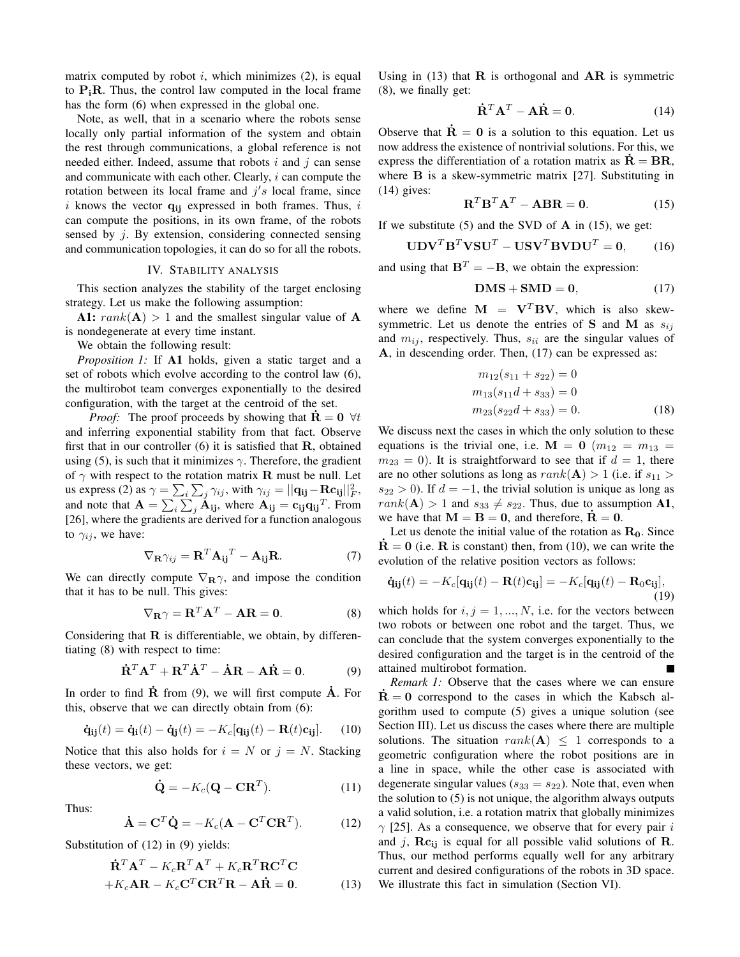matrix computed by robot  $i$ , which minimizes  $(2)$ , is equal to  $P_iR$ . Thus, the control law computed in the local frame has the form (6) when expressed in the global one.

Note, as well, that in a scenario where the robots sense locally only partial information of the system and obtain the rest through communications, a global reference is not needed either. Indeed, assume that robots  $i$  and  $j$  can sense and communicate with each other. Clearly,  $i$  can compute the rotation between its local frame and  $j's$  local frame, since  $i$  knows the vector  $q_{ij}$  expressed in both frames. Thus,  $i$ can compute the positions, in its own frame, of the robots sensed by  $i$ . By extension, considering connected sensing and communication topologies, it can do so for all the robots.

# IV. STABILITY ANALYSIS

This section analyzes the stability of the target enclosing strategy. Let us make the following assumption:

A1:  $rank(A) > 1$  and the smallest singular value of A is nondegenerate at every time instant.

We obtain the following result:

*Proposition 1:* If A1 holds, given a static target and a set of robots which evolve according to the control law (6), the multirobot team converges exponentially to the desired configuration, with the target at the centroid of the set.

*Proof:* The proof proceeds by showing that  $\dot{\mathbf{R}} = \mathbf{0}$   $\forall t$ and inferring exponential stability from that fact. Observe first that in our controller  $(6)$  it is satisfied that  $\bf{R}$ , obtained using (5), is such that it minimizes  $\gamma$ . Therefore, the gradient of  $\gamma$  with respect to the rotation matrix **R** must be null. Let us express (2) as  $\gamma = \sum_i \sum_j \gamma_{ij}$ , with  $\gamma_{ij} = ||\mathbf{q_{ij}} - \mathbf{R} \mathbf{c_{ij}}||_F^2$ , and note that  $\mathbf{A} = \sum_i \sum_j \mathbf{A_{ij}}$ , where  $\mathbf{A_{ij}} = \mathbf{c_{ij}} \mathbf{q_{ij}}^T$ . From [26], where the gradients are derived for a function analogous to  $\gamma_{ij}$ , we have:

$$
\nabla_{\mathbf{R}} \gamma_{ij} = \mathbf{R}^T \mathbf{A}_{ij}^T - \mathbf{A}_{ij} \mathbf{R}.
$$
 (7)

We can directly compute  $\nabla_{\bf R} \gamma$ , and impose the condition that it has to be null. This gives:

$$
\nabla_{\mathbf{R}} \gamma = \mathbf{R}^T \mathbf{A}^T - \mathbf{A} \mathbf{R} = \mathbf{0}.
$$
 (8)

Considering that  $R$  is differentiable, we obtain, by differentiating (8) with respect to time:

$$
\dot{\mathbf{R}}^T \mathbf{A}^T + \mathbf{R}^T \dot{\mathbf{A}}^T - \dot{\mathbf{A}} \mathbf{R} - \mathbf{A} \dot{\mathbf{R}} = 0.
$$
 (9)

In order to find  $\dot{\mathbf{R}}$  from (9), we will first compute  $\dot{\mathbf{A}}$ . For this, observe that we can directly obtain from (6):

$$
\dot{\mathbf{q}}_{ij}(t) = \dot{\mathbf{q}}_i(t) - \dot{\mathbf{q}}_j(t) = -K_c[\mathbf{q}_{ij}(t) - \mathbf{R}(t)\mathbf{c}_{ij}].
$$
 (10)

Notice that this also holds for  $i = N$  or  $j = N$ . Stacking these vectors, we get:

$$
\dot{\mathbf{Q}} = -K_c(\mathbf{Q} - \mathbf{C}\mathbf{R}^T). \tag{11}
$$

Thus:

$$
\dot{\mathbf{A}} = \mathbf{C}^T \dot{\mathbf{Q}} = -K_c (\mathbf{A} - \mathbf{C}^T \mathbf{C} \mathbf{R}^T).
$$
 (12)

Substitution of  $(12)$  in  $(9)$  yields:

$$
\dot{\mathbf{R}}^T \mathbf{A}^T - K_c \mathbf{R}^T \mathbf{A}^T + K_c \mathbf{R}^T \mathbf{R} \mathbf{C}^T \mathbf{C} + K_c \mathbf{A} \mathbf{R} - K_c \mathbf{C}^T \mathbf{C} \mathbf{R}^T \mathbf{R} - \mathbf{A} \dot{\mathbf{R}} = \mathbf{0}.
$$
 (13)

Using in (13) that  $\bf{R}$  is orthogonal and  $\bf{AR}$  is symmetric  $(8)$ , we finally get:

$$
\dot{\mathbf{R}}^T \mathbf{A}^T - \mathbf{A} \dot{\mathbf{R}} = 0. \tag{14}
$$

Observe that  $\dot{\mathbf{R}} = \mathbf{0}$  is a solution to this equation. Let us now address the existence of nontrivial solutions. For this, we express the differentiation of a rotation matrix as  $\dot{\mathbf{R}} = \mathbf{BR}$ , where  $\bf{B}$  is a skew-symmetric matrix [27]. Substituting in  $(14)$  gives:

$$
\mathbf{R}^T \mathbf{B}^T \mathbf{A}^T - \mathbf{A} \mathbf{B} \mathbf{R} = \mathbf{0}.
$$
 (15)

If we substitute  $(5)$  and the SVD of A in  $(15)$ , we get:

$$
UDVTBTVSUT - USVTBVDUT = 0, \t(16)
$$

and using that  $B<sup>T</sup> = -B$ , we obtain the expression:

$$
DMS + SMD = 0, \qquad (17)
$$

where we define  $M = V^T B V$ , which is also skewsymmetric. Let us denote the entries of S and M as  $s_{ij}$ and  $m_{ij}$ , respectively. Thus,  $s_{ii}$  are the singular values of A, in descending order. Then, (17) can be expressed as:

$$
m_{12}(s_{11} + s_{22}) = 0
$$
  
\n
$$
m_{13}(s_{11}d + s_{33}) = 0
$$
  
\n
$$
m_{23}(s_{22}d + s_{33}) = 0.
$$
\n(18)

We discuss next the cases in which the only solution to these equations is the trivial one, i.e.  $M = 0$  ( $m_{12} = m_{13} =$  $m_{23} = 0$ ). It is straightforward to see that if  $d = 1$ , there are no other solutions as long as  $rank(A) > 1$  (i.e. if  $s_{11} >$  $s_{22} > 0$ ). If  $d = -1$ , the trivial solution is unique as long as  $rank(A) > 1$  and  $s_{33} \neq s_{22}$ . Thus, due to assumption A1, we have that  $M = B = 0$ , and therefore,  $\dot{R} = 0$ .

Let us denote the initial value of the rotation as  $R_0$ . Since  $\dot{\mathbf{R}} = \mathbf{0}$  (i.e. **R** is constant) then, from (10), we can write the evolution of the relative position vectors as follows:

$$
\dot{\mathbf{q}}_{ij}(t) = -K_c[\mathbf{q}_{ij}(t) - \mathbf{R}(t)\mathbf{c}_{ij}] = -K_c[\mathbf{q}_{ij}(t) - \mathbf{R}_0\mathbf{c}_{ij}],
$$
\n(19)

which holds for  $i, j = 1, ..., N$ , i.e. for the vectors between two robots or between one robot and the target. Thus, we can conclude that the system converges exponentially to the desired configuration and the target is in the centroid of the attained multirobot formation.

*Remark 1:* Observe that the cases where we can ensure  $\dot{\mathbf{R}} = 0$  correspond to the cases in which the Kabsch algorithm used to compute (5) gives a unique solution (see Section III). Let us discuss the cases where there are multiple solutions. The situation  $rank(A) \leq 1$  corresponds to a geometric configuration where the robot positions are in a line in space, while the other case is associated with degenerate singular values ( $s_{33} = s_{22}$ ). Note that, even when the solution to  $(5)$  is not unique, the algorithm always outputs a valid solution, *i.e.* a rotation matrix that globally minimizes  $\gamma$  [25]. As a consequence, we observe that for every pair i and j,  $\text{Rc}_{ij}$  is equal for all possible valid solutions of  $\text{R}$ . Thus, our method performs equally well for any arbitrary current and desired configurations of the robots in 3D space. We illustrate this fact in simulation (Section VI).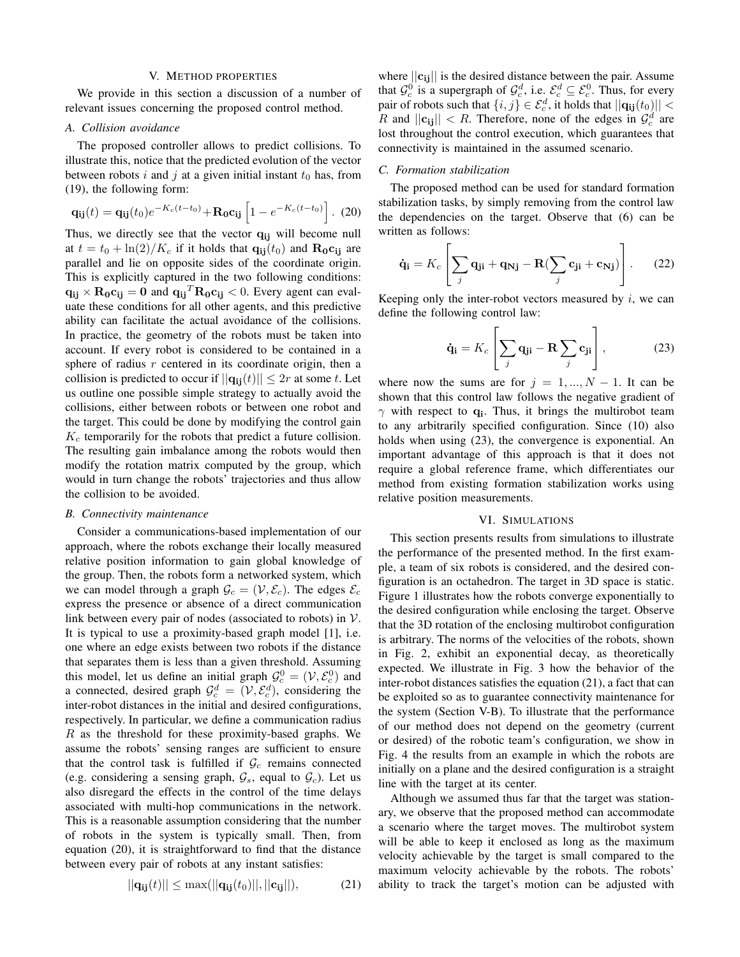#### V. METHOD PROPERTIES

We provide in this section a discussion of a number of relevant issues concerning the proposed control method.

# A. Collision avoidance

The proposed controller allows to predict collisions. To illustrate this, notice that the predicted evolution of the vector between robots  $i$  and  $j$  at a given initial instant  $t_0$  has, from  $(19)$ , the following form:

$$
\mathbf{q_{ij}}(t) = \mathbf{q_{ij}}(t_0)e^{-K_c(t-t_0)} + \mathbf{R_0} \mathbf{c_{ij}} \left[ 1 - e^{-K_c(t-t_0)} \right]. \tag{20}
$$

Thus, we directly see that the vector q<sub>ij</sub> will become null at  $t = t_0 + \ln(2)/K_c$  if it holds that  $\mathbf{q_{ij}}(t_0)$  and  $\mathbf{R_0 c_{ij}}$  are parallel and lie on opposite sides of the coordinate origin. This is explicitly captured in the two following conditions:  $\mathbf{q_{ij}} \times \mathbf{R_0} \mathbf{c_{ij}} = \mathbf{0}$  and  $\mathbf{q_{ij}}^T \mathbf{R_0} \mathbf{c_{ij}} < 0$ . Every agent can evaluate these conditions for all other agents, and this predictive ability can facilitate the actual avoidance of the collisions. In practice, the geometry of the robots must be taken into account. If every robot is considered to be contained in a sphere of radius  $r$  centered in its coordinate origin, then a collision is predicted to occur if  $||\mathbf{q}_{ii}(t)|| \leq 2r$  at some t. Let us outline one possible simple strategy to actually avoid the collisions, either between robots or between one robot and the target. This could be done by modifying the control gain  $K_c$  temporarily for the robots that predict a future collision. The resulting gain imbalance among the robots would then modify the rotation matrix computed by the group, which would in turn change the robots' trajectories and thus allow the collision to be avoided.

#### **B.** Connectivity maintenance

Consider a communications-based implementation of our approach, where the robots exchange their locally measured relative position information to gain global knowledge of the group. Then, the robots form a networked system, which we can model through a graph  $\mathcal{G}_c = (\mathcal{V}, \mathcal{E}_c)$ . The edges  $\mathcal{E}_c$ express the presence or absence of a direct communication link between every pair of nodes (associated to robots) in  $V$ . It is typical to use a proximity-based graph model [1], i.e. one where an edge exists between two robots if the distance that separates them is less than a given threshold. Assuming this model, let us define an initial graph  $\mathcal{G}_c^0 = (\mathcal{V}, \mathcal{E}_c^0)$  and a connected, desired graph  $\mathcal{G}_c^d = (\mathcal{V}, \mathcal{E}_c^d)$ , considering the inter-robot distances in the initial and desired configurations, respectively. In particular, we define a communication radius  $R$  as the threshold for these proximity-based graphs. We assume the robots' sensing ranges are sufficient to ensure that the control task is fulfilled if  $\mathcal{G}_c$  remains connected (e.g. considering a sensing graph,  $\mathcal{G}_s$ , equal to  $\mathcal{G}_c$ ). Let us also disregard the effects in the control of the time delays associated with multi-hop communications in the network. This is a reasonable assumption considering that the number of robots in the system is typically small. Then, from equation (20), it is straightforward to find that the distance between every pair of robots at any instant satisfies:

$$
||\mathbf{q_{ij}}(t)|| \le \max(||\mathbf{q_{ij}}(t_0)||, ||\mathbf{c_{ij}}||), \tag{21}
$$

where  $||c_{ii}||$  is the desired distance between the pair. Assume that  $\mathcal{G}_c^0$  is a supergraph of  $\mathcal{G}_c^d$ , i.e.  $\mathcal{E}_c^d \subseteq \mathcal{E}_c^0$ . Thus, for every pair of robots such that  $\{i, j\} \in \mathcal{E}_c^d$ , it holds that  $||\mathbf{q_{ij}}(t_0)|| <$ R and  $||c_{ij}|| < R$ . Therefore, none of the edges in  $\mathcal{G}_c^d$  are lost throughout the control execution, which guarantees that connectivity is maintained in the assumed scenario.

### C. Formation stabilization

The proposed method can be used for standard formation stabilization tasks, by simply removing from the control law the dependencies on the target. Observe that (6) can be written as follows:

$$
\dot{\mathbf{q}}_{\mathbf{i}} = K_c \left[ \sum_j \mathbf{q}_{\mathbf{j} \mathbf{i}} + \mathbf{q}_{\mathbf{N} \mathbf{j}} - \mathbf{R} (\sum_j \mathbf{c}_{\mathbf{j} \mathbf{i}} + \mathbf{c}_{\mathbf{N} \mathbf{j}}) \right].
$$
 (22)

Keeping only the inter-robot vectors measured by  $i$ , we can define the following control law:

$$
\dot{\mathbf{q}}_{\mathbf{i}} = K_c \left[ \sum_j \mathbf{q}_{\mathbf{j}\mathbf{i}} - \mathbf{R} \sum_j \mathbf{c}_{\mathbf{j}\mathbf{i}} \right],\tag{23}
$$

where now the sums are for  $j = 1, ..., N - 1$ . It can be shown that this control law follows the negative gradient of  $\gamma$  with respect to  $q_i$ . Thus, it brings the multirobot team to any arbitrarily specified configuration. Since (10) also holds when using (23), the convergence is exponential. An important advantage of this approach is that it does not require a global reference frame, which differentiates our method from existing formation stabilization works using relative position measurements.

## VI. SIMULATIONS

This section presents results from simulations to illustrate the performance of the presented method. In the first example, a team of six robots is considered, and the desired configuration is an octahedron. The target in 3D space is static. Figure 1 illustrates how the robots converge exponentially to the desired configuration while enclosing the target. Observe that the 3D rotation of the enclosing multirobot configuration is arbitrary. The norms of the velocities of the robots, shown in Fig. 2, exhibit an exponential decay, as theoretically expected. We illustrate in Fig. 3 how the behavior of the inter-robot distances satisfies the equation (21), a fact that can be exploited so as to guarantee connectivity maintenance for the system (Section V-B). To illustrate that the performance of our method does not depend on the geometry (current or desired) of the robotic team's configuration, we show in Fig. 4 the results from an example in which the robots are initially on a plane and the desired configuration is a straight line with the target at its center.

Although we assumed thus far that the target was stationary, we observe that the proposed method can accommodate a scenario where the target moves. The multirobot system will be able to keep it enclosed as long as the maximum velocity achievable by the target is small compared to the maximum velocity achievable by the robots. The robots' ability to track the target's motion can be adjusted with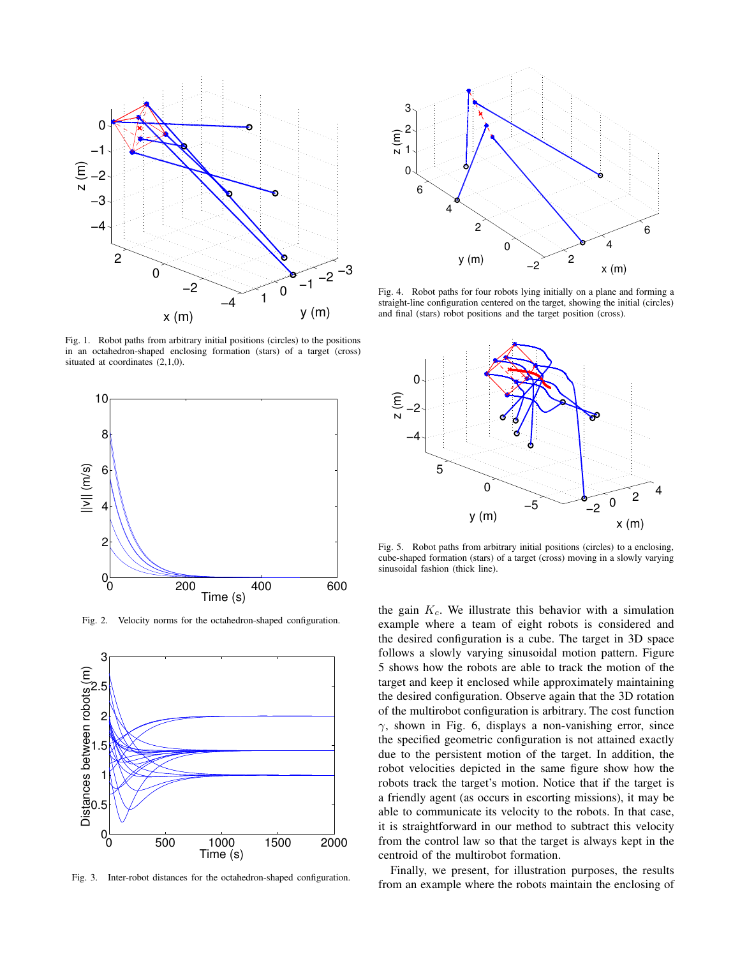

Fig. 1. Robot paths from arbitrary initial positions (circles) to the positions in an octahedron-shaped enclosing formation (stars) of a target (cross) situated at coordinates (2,1,0).



Fig. 2. Velocity norms for the octahedron-shaped configuration.



Fig. 3. Inter-robot distances for the octahedron-shaped configuration.



Fig. 4. Robot paths for four robots lying initially on a plane and forming a straight-line configuration centered on the target, showing the initial (circles) and final (stars) robot positions and the target position (cross).



Fig. 5. Robot paths from arbitrary initial positions (circles) to a enclosing, cube-shaped formation (stars) of a target (cross) moving in a slowly varying sinusoidal fashion (thick line).

the gain  $K_c$ . We illustrate this behavior with a simulation example where a team of eight robots is considered and the desired configuration is a cube. The target in 3D space follows a slowly varying sinusoidal motion pattern. Figure 5 shows how the robots are able to track the motion of the target and keep it enclosed while approximately maintaining the desired configuration. Observe again that the 3D rotation of the multirobot configuration is arbitrary. The cost function  $\gamma$ , shown in Fig. 6, displays a non-vanishing error, since the specified geometric configuration is not attained exactly due to the persistent motion of the target. In addition, the robot velocities depicted in the same figure show how the robots track the target's motion. Notice that if the target is a friendly agent (as occurs in escorting missions), it may be able to communicate its velocity to the robots. In that case, it is straightforward in our method to subtract this velocity from the control law so that the target is always kept in the centroid of the multirobot formation.

Finally, we present, for illustration purposes, the results from an example where the robots maintain the enclosing of